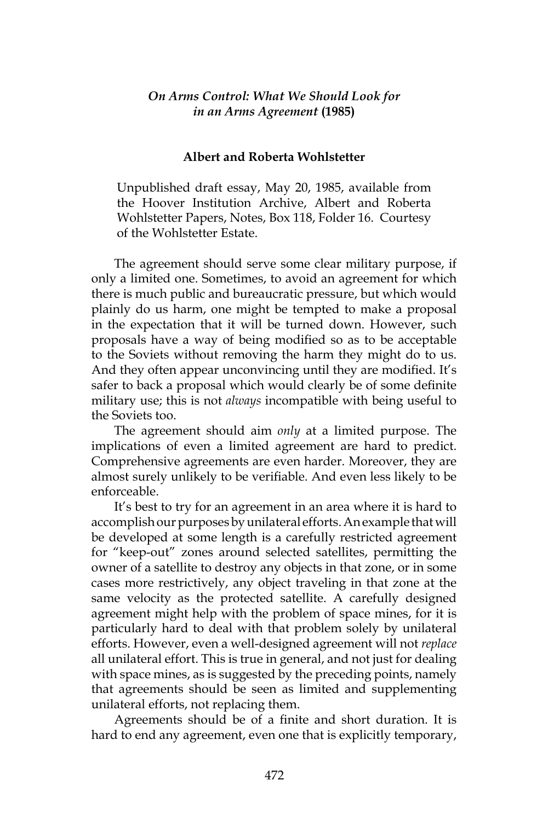## *On Arms Control: What We Should Look for in an Arms Agreement* **(1985)**

#### **Albert and Roberta Wohlstetter**

Unpublished draft essay, May 20, 1985, available from the Hoover Institution Archive, Albert and Roberta Wohlstetter Papers, Notes, Box 118, Folder 16. Courtesy of the Wohlstetter Estate.

The agreement should serve some clear military purpose, if only a limited one. Sometimes, to avoid an agreement for which there is much public and bureaucratic pressure, but which would plainly do us harm, one might be tempted to make a proposal in the expectation that it will be turned down. However, such proposals have a way of being modified so as to be acceptable to the Soviets without removing the harm they might do to us. And they often appear unconvincing until they are modified. It's safer to back a proposal which would clearly be of some definite military use; this is not *always* incompatible with being useful to the Soviets too.

The agreement should aim *only* at a limited purpose. The implications of even a limited agreement are hard to predict. Comprehensive agreements are even harder. Moreover, they are almost surely unlikely to be verifiable. And even less likely to be enforceable.

It's best to try for an agreement in an area where it is hard to accomplish our purposes by unilateral efforts. An example that will be developed at some length is a carefully restricted agreement for "keep-out" zones around selected satellites, permitting the owner of a satellite to destroy any objects in that zone, or in some cases more restrictively, any object traveling in that zone at the same velocity as the protected satellite. A carefully designed agreement might help with the problem of space mines, for it is particularly hard to deal with that problem solely by unilateral efforts. However, even a well-designed agreement will not *replace* all unilateral effort. This is true in general, and not just for dealing with space mines, as is suggested by the preceding points, namely that agreements should be seen as limited and supplementing unilateral efforts, not replacing them.

Agreements should be of a finite and short duration. It is hard to end any agreement, even one that is explicitly temporary,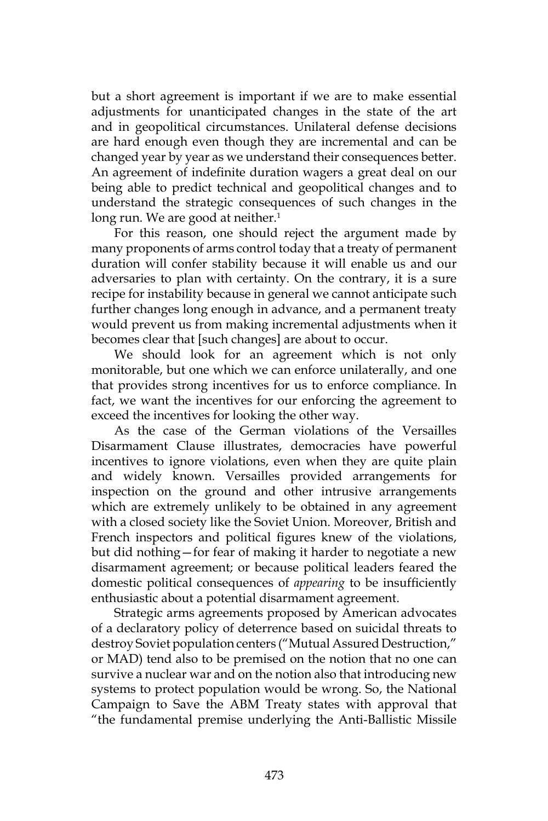but a short agreement is important if we are to make essential adjustments for unanticipated changes in the state of the art and in geopolitical circumstances. Unilateral defense decisions are hard enough even though they are incremental and can be changed year by year as we understand their consequences better. An agreement of indefinite duration wagers a great deal on our being able to predict technical and geopolitical changes and to understand the strategic consequences of such changes in the long run. We are good at neither. $1$ 

For this reason, one should reject the argument made by many proponents of arms control today that a treaty of permanent duration will confer stability because it will enable us and our adversaries to plan with certainty. On the contrary, it is a sure recipe for instability because in general we cannot anticipate such further changes long enough in advance, and a permanent treaty would prevent us from making incremental adjustments when it becomes clear that [such changes] are about to occur.

We should look for an agreement which is not only monitorable, but one which we can enforce unilaterally, and one that provides strong incentives for us to enforce compliance. In fact, we want the incentives for our enforcing the agreement to exceed the incentives for looking the other way.

As the case of the German violations of the Versailles Disarmament Clause illustrates, democracies have powerful incentives to ignore violations, even when they are quite plain and widely known. Versailles provided arrangements for inspection on the ground and other intrusive arrangements which are extremely unlikely to be obtained in any agreement with a closed society like the Soviet Union. Moreover, British and French inspectors and political figures knew of the violations, but did nothing—for fear of making it harder to negotiate a new disarmament agreement; or because political leaders feared the domestic political consequences of *appearing* to be insufficiently enthusiastic about a potential disarmament agreement.

Strategic arms agreements proposed by American advocates of a declaratory policy of deterrence based on suicidal threats to destroy Soviet population centers ("Mutual Assured Destruction," or MAD) tend also to be premised on the notion that no one can survive a nuclear war and on the notion also that introducing new systems to protect population would be wrong. So, the National Campaign to Save the ABM Treaty states with approval that "the fundamental premise underlying the Anti-Ballistic Missile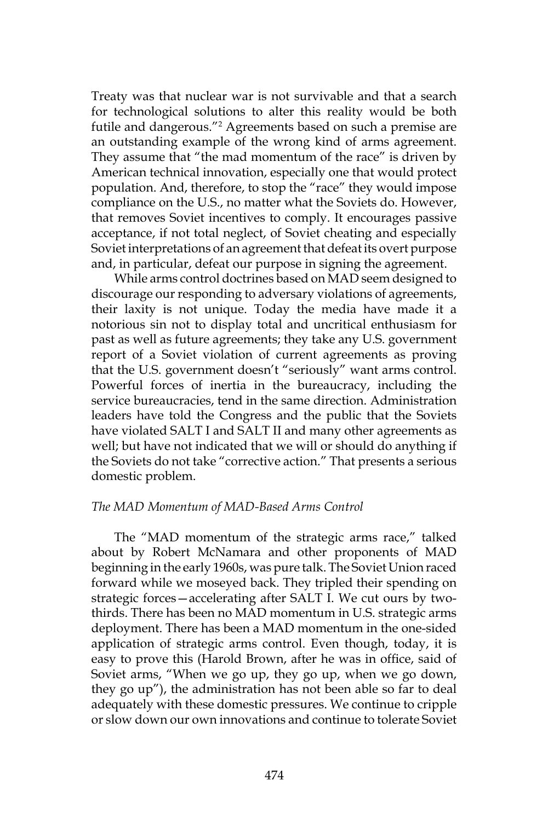Treaty was that nuclear war is not survivable and that a search for technological solutions to alter this reality would be both futile and dangerous."2 Agreements based on such a premise are an outstanding example of the wrong kind of arms agreement. They assume that "the mad momentum of the race" is driven by American technical innovation, especially one that would protect population. And, therefore, to stop the "race" they would impose compliance on the U.S., no matter what the Soviets do. However, that removes Soviet incentives to comply. It encourages passive acceptance, if not total neglect, of Soviet cheating and especially Soviet interpretations of an agreement that defeat its overt purpose and, in particular, defeat our purpose in signing the agreement.

While arms control doctrines based on MAD seem designed to discourage our responding to adversary violations of agreements, their laxity is not unique. Today the media have made it a notorious sin not to display total and uncritical enthusiasm for past as well as future agreements; they take any U.S. government report of a Soviet violation of current agreements as proving that the U.S. government doesn't "seriously" want arms control. Powerful forces of inertia in the bureaucracy, including the service bureaucracies, tend in the same direction. Administration leaders have told the Congress and the public that the Soviets have violated SALT I and SALT II and many other agreements as well; but have not indicated that we will or should do anything if the Soviets do not take "corrective action." That presents a serious domestic problem.

### *The MAD Momentum of MAD-Based Arms Control*

The "MAD momentum of the strategic arms race," talked about by Robert McNamara and other proponents of MAD beginning in the early 1960s, was pure talk. The Soviet Union raced forward while we moseyed back. They tripled their spending on strategic forces—accelerating after SALT I. We cut ours by twothirds. There has been no MAD momentum in U.S. strategic arms deployment. There has been a MAD momentum in the one-sided application of strategic arms control. Even though, today, it is easy to prove this (Harold Brown, after he was in office, said of Soviet arms, "When we go up, they go up, when we go down, they go up"), the administration has not been able so far to deal adequately with these domestic pressures. We continue to cripple or slow down our own innovations and continue to tolerate Soviet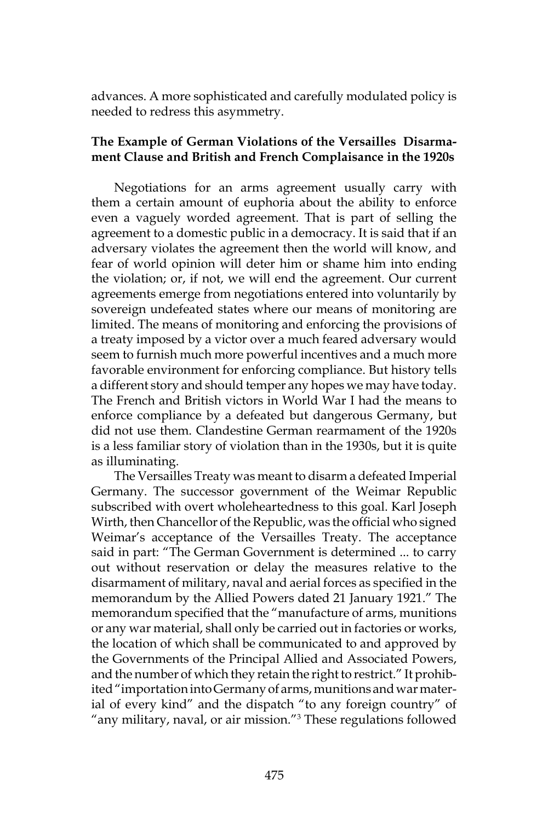advances. A more sophisticated and carefully modulated policy is needed to redress this asymmetry.

### **The Example of German Violations of the Versailles Disarmament Clause and British and French Complaisance in the 1920s**

Negotiations for an arms agreement usually carry with them a certain amount of euphoria about the ability to enforce even a vaguely worded agreement. That is part of selling the agreement to a domestic public in a democracy. It is said that if an adversary violates the agreement then the world will know, and fear of world opinion will deter him or shame him into ending the violation; or, if not, we will end the agreement. Our current agreements emerge from negotiations entered into voluntarily by sovereign undefeated states where our means of monitoring are limited. The means of monitoring and enforcing the provisions of a treaty imposed by a victor over a much feared adversary would seem to furnish much more powerful incentives and a much more favorable environment for enforcing compliance. But history tells a different story and should temper any hopes we may have today. The French and British victors in World War I had the means to enforce compliance by a defeated but dangerous Germany, but did not use them. Clandestine German rearmament of the 1920s is a less familiar story of violation than in the 1930s, but it is quite as illuminating.

The Versailles Treaty was meant to disarm a defeated Imperial Germany. The successor government of the Weimar Republic subscribed with overt wholeheartedness to this goal. Karl Joseph Wirth, then Chancellor of the Republic, was the official who signed Weimar's acceptance of the Versailles Treaty. The acceptance said in part: "The German Government is determined ... to carry out without reservation or delay the measures relative to the disarmament of military, naval and aerial forces as specified in the memorandum by the Allied Powers dated 21 January 1921." The memorandum specified that the "manufacture of arms, munitions or any war material, shall only be carried out in factories or works, the location of which shall be communicated to and approved by the Governments of the Principal Allied and Associated Powers, and the number of which they retain the right to restrict." It prohibited "importation into Germany of arms, munitions and war material of every kind" and the dispatch "to any foreign country" of "any military, naval, or air mission."3 These regulations followed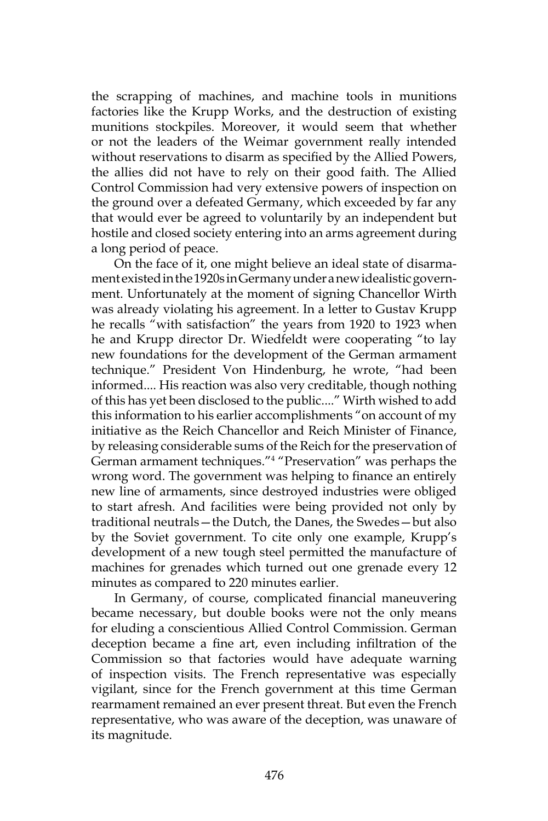the scrapping of machines, and machine tools in munitions factories like the Krupp Works, and the destruction of existing munitions stockpiles. Moreover, it would seem that whether or not the leaders of the Weimar government really intended without reservations to disarm as specified by the Allied Powers, the allies did not have to rely on their good faith. The Allied Control Commission had very extensive powers of inspection on the ground over a defeated Germany, which exceeded by far any that would ever be agreed to voluntarily by an independent but hostile and closed society entering into an arms agreement during a long period of peace.

On the face of it, one might believe an ideal state of disarmament existed in the 1920s in Germany under a new idealistic government. Unfortunately at the moment of signing Chancellor Wirth was already violating his agreement. In a letter to Gustav Krupp he recalls "with satisfaction" the years from 1920 to 1923 when he and Krupp director Dr. Wiedfeldt were cooperating "to lay new foundations for the development of the German armament technique." President Von Hindenburg, he wrote, "had been informed.... His reaction was also very creditable, though nothing of this has yet been disclosed to the public...." Wirth wished to add this information to his earlier accomplishments "on account of my initiative as the Reich Chancellor and Reich Minister of Finance, by releasing considerable sums of the Reich for the preservation of German armament techniques."4 "Preservation" was perhaps the wrong word. The government was helping to finance an entirely new line of armaments, since destroyed industries were obliged to start afresh. And facilities were being provided not only by traditional neutrals—the Dutch, the Danes, the Swedes—but also by the Soviet government. To cite only one example, Krupp's development of a new tough steel permitted the manufacture of machines for grenades which turned out one grenade every 12 minutes as compared to 220 minutes earlier.

In Germany, of course, complicated financial maneuvering became necessary, but double books were not the only means for eluding a conscientious Allied Control Commission. German deception became a fine art, even including infiltration of the Commission so that factories would have adequate warning of inspection visits. The French representative was especially vigilant, since for the French government at this time German rearmament remained an ever present threat. But even the French representative, who was aware of the deception, was unaware of its magnitude.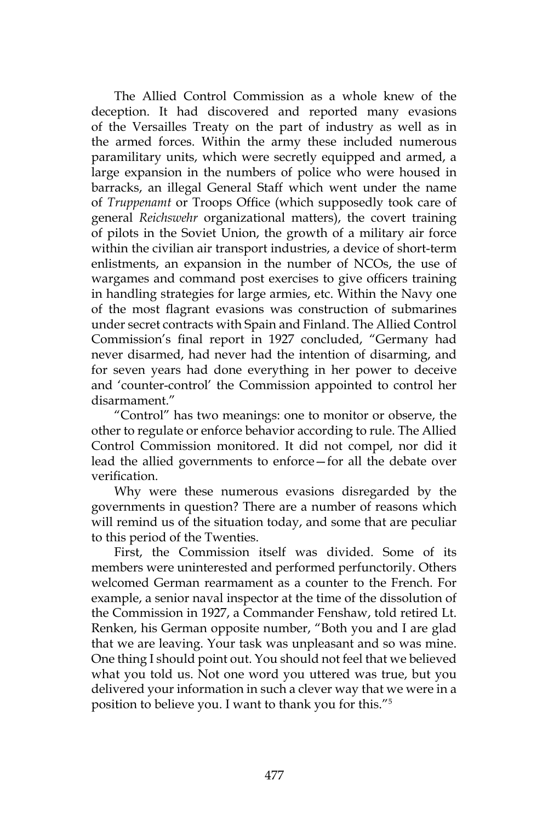The Allied Control Commission as a whole knew of the deception. It had discovered and reported many evasions of the Versailles Treaty on the part of industry as well as in the armed forces. Within the army these included numerous paramilitary units, which were secretly equipped and armed, a large expansion in the numbers of police who were housed in barracks, an illegal General Staff which went under the name of *Truppenamt* or Troops Office (which supposedly took care of general *Reichswehr* organizational matters), the covert training of pilots in the Soviet Union, the growth of a military air force within the civilian air transport industries, a device of short-term enlistments, an expansion in the number of NCOs, the use of wargames and command post exercises to give officers training in handling strategies for large armies, etc. Within the Navy one of the most flagrant evasions was construction of submarines under secret contracts with Spain and Finland. The Allied Control Commission's final report in 1927 concluded, "Germany had never disarmed, had never had the intention of disarming, and for seven years had done everything in her power to deceive and 'counter-control' the Commission appointed to control her disarmament."

"Control" has two meanings: one to monitor or observe, the other to regulate or enforce behavior according to rule. The Allied Control Commission monitored. It did not compel, nor did it lead the allied governments to enforce—for all the debate over verification.

Why were these numerous evasions disregarded by the governments in question? There are a number of reasons which will remind us of the situation today, and some that are peculiar to this period of the Twenties.

First, the Commission itself was divided. Some of its members were uninterested and performed perfunctorily. Others welcomed German rearmament as a counter to the French. For example, a senior naval inspector at the time of the dissolution of the Commission in 1927, a Commander Fenshaw, told retired Lt. Renken, his German opposite number, "Both you and I are glad that we are leaving. Your task was unpleasant and so was mine. One thing I should point out. You should not feel that we believed what you told us. Not one word you uttered was true, but you delivered your information in such a clever way that we were in a position to believe you. I want to thank you for this."5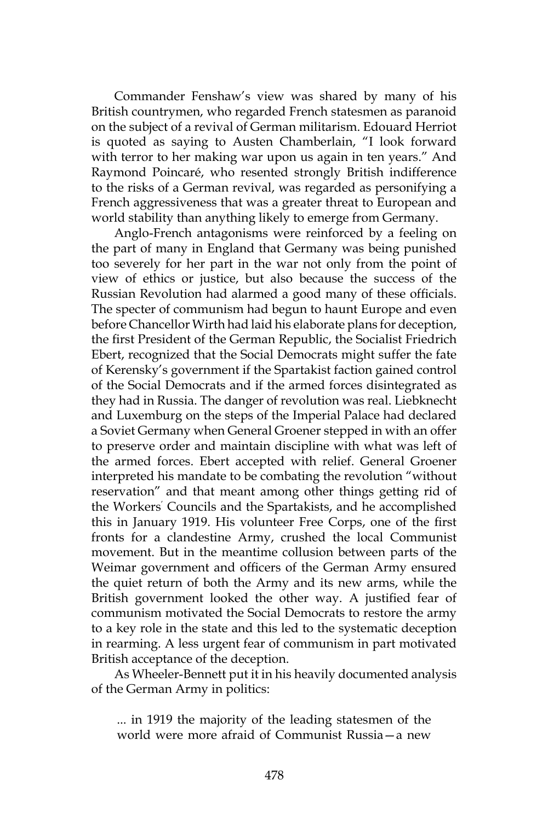Commander Fenshaw's view was shared by many of his British countrymen, who regarded French statesmen as paranoid on the subject of a revival of German militarism. Edouard Herriot is quoted as saying to Austen Chamberlain, "I look forward with terror to her making war upon us again in ten years." And Raymond Poincaré, who resented strongly British indifference to the risks of a German revival, was regarded as personifying a French aggressiveness that was a greater threat to European and world stability than anything likely to emerge from Germany.

Anglo-French antagonisms were reinforced by a feeling on the part of many in England that Germany was being punished too severely for her part in the war not only from the point of view of ethics or justice, but also because the success of the Russian Revolution had alarmed a good many of these officials. The specter of communism had begun to haunt Europe and even before Chancellor Wirth had laid his elaborate plans for deception, the first President of the German Republic, the Socialist Friedrich Ebert, recognized that the Social Democrats might suffer the fate of Kerensky's government if the Spartakist faction gained control of the Social Democrats and if the armed forces disintegrated as they had in Russia. The danger of revolution was real. Liebknecht and Luxemburg on the steps of the Imperial Palace had declared a Soviet Germany when General Groener stepped in with an offer to preserve order and maintain discipline with what was left of the armed forces. Ebert accepted with relief. General Groener interpreted his mandate to be combating the revolution "without reservation" and that meant among other things getting rid of the Workers' Councils and the Spartakists, and he accomplished this in January 1919. His volunteer Free Corps, one of the first fronts for a clandestine Army, crushed the local Communist movement. But in the meantime collusion between parts of the Weimar government and officers of the German Army ensured the quiet return of both the Army and its new arms, while the British government looked the other way. A justified fear of communism motivated the Social Democrats to restore the army to a key role in the state and this led to the systematic deception in rearming. A less urgent fear of communism in part motivated British acceptance of the deception.

As Wheeler-Bennett put it in his heavily documented analysis of the German Army in politics:

... in 1919 the majority of the leading statesmen of the world were more afraid of Communist Russia—a new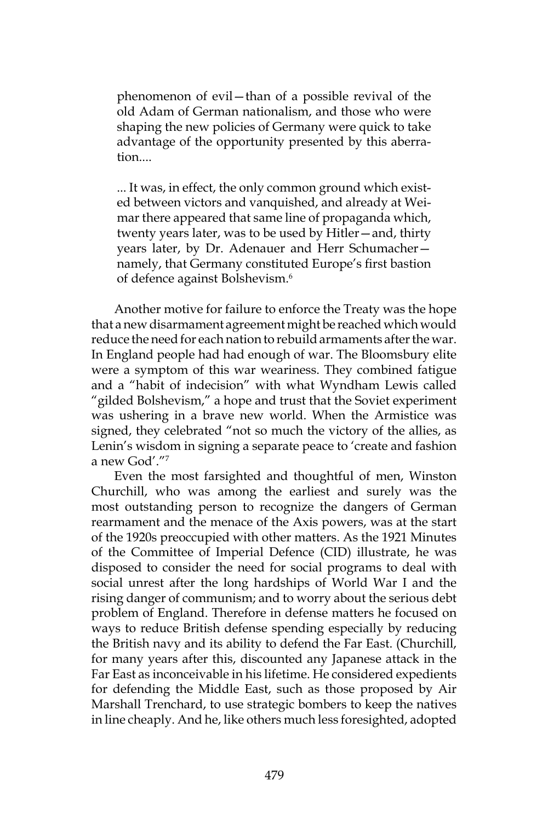phenomenon of evil—than of a possible revival of the old Adam of German nationalism, and those who were shaping the new policies of Germany were quick to take advantage of the opportunity presented by this aberration....

... It was, in effect, the only common ground which existed between victors and vanquished, and already at Weimar there appeared that same line of propaganda which, twenty years later, was to be used by Hitler—and, thirty years later, by Dr. Adenauer and Herr Schumacher namely, that Germany constituted Europe's first bastion of defence against Bolshevism.6

Another motive for failure to enforce the Treaty was the hope that a new disarmament agreement might be reached which would reduce the need for each nation to rebuild armaments after the war. In England people had had enough of war. The Bloomsbury elite were a symptom of this war weariness. They combined fatigue and a "habit of indecision" with what Wyndham Lewis called "gilded Bolshevism," a hope and trust that the Soviet experiment was ushering in a brave new world. When the Armistice was signed, they celebrated "not so much the victory of the allies, as Lenin's wisdom in signing a separate peace to 'create and fashion a new God'."7

Even the most farsighted and thoughtful of men, Winston Churchill, who was among the earliest and surely was the most outstanding person to recognize the dangers of German rearmament and the menace of the Axis powers, was at the start of the 1920s preoccupied with other matters. As the 1921 Minutes of the Committee of Imperial Defence (CID) illustrate, he was disposed to consider the need for social programs to deal with social unrest after the long hardships of World War I and the rising danger of communism; and to worry about the serious debt problem of England. Therefore in defense matters he focused on ways to reduce British defense spending especially by reducing the British navy and its ability to defend the Far East. (Churchill, for many years after this, discounted any Japanese attack in the Far East as inconceivable in his lifetime. He considered expedients for defending the Middle East, such as those proposed by Air Marshall Trenchard, to use strategic bombers to keep the natives in line cheaply. And he, like others much less foresighted, adopted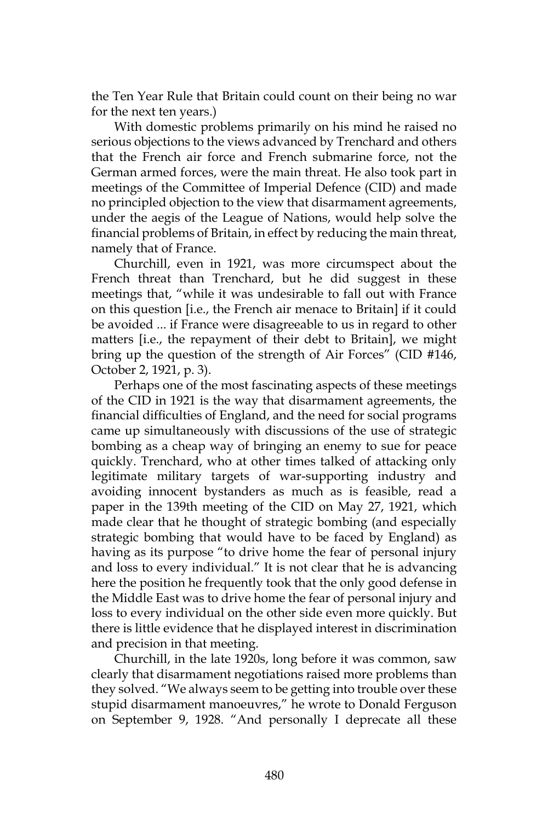the Ten Year Rule that Britain could count on their being no war for the next ten years.)

With domestic problems primarily on his mind he raised no serious objections to the views advanced by Trenchard and others that the French air force and French submarine force, not the German armed forces, were the main threat. He also took part in meetings of the Committee of Imperial Defence (CID) and made no principled objection to the view that disarmament agreements, under the aegis of the League of Nations, would help solve the financial problems of Britain, in effect by reducing the main threat, namely that of France.

Churchill, even in 1921, was more circumspect about the French threat than Trenchard, but he did suggest in these meetings that, "while it was undesirable to fall out with France on this question [i.e., the French air menace to Britain] if it could be avoided ... if France were disagreeable to us in regard to other matters [i.e., the repayment of their debt to Britain], we might bring up the question of the strength of Air Forces" (CID #146, October 2, 1921, p. 3).

Perhaps one of the most fascinating aspects of these meetings of the CID in 1921 is the way that disarmament agreements, the financial difficulties of England, and the need for social programs came up simultaneously with discussions of the use of strategic bombing as a cheap way of bringing an enemy to sue for peace quickly. Trenchard, who at other times talked of attacking only legitimate military targets of war-supporting industry and avoiding innocent bystanders as much as is feasible, read a paper in the 139th meeting of the CID on May 27, 1921, which made clear that he thought of strategic bombing (and especially strategic bombing that would have to be faced by England) as having as its purpose "to drive home the fear of personal injury and loss to every individual." It is not clear that he is advancing here the position he frequently took that the only good defense in the Middle East was to drive home the fear of personal injury and loss to every individual on the other side even more quickly. But there is little evidence that he displayed interest in discrimination and precision in that meeting.

Churchill, in the late 1920s, long before it was common, saw clearly that disarmament negotiations raised more problems than they solved. "We always seem to be getting into trouble over these stupid disarmament manoeuvres," he wrote to Donald Ferguson on September 9, 1928. "And personally I deprecate all these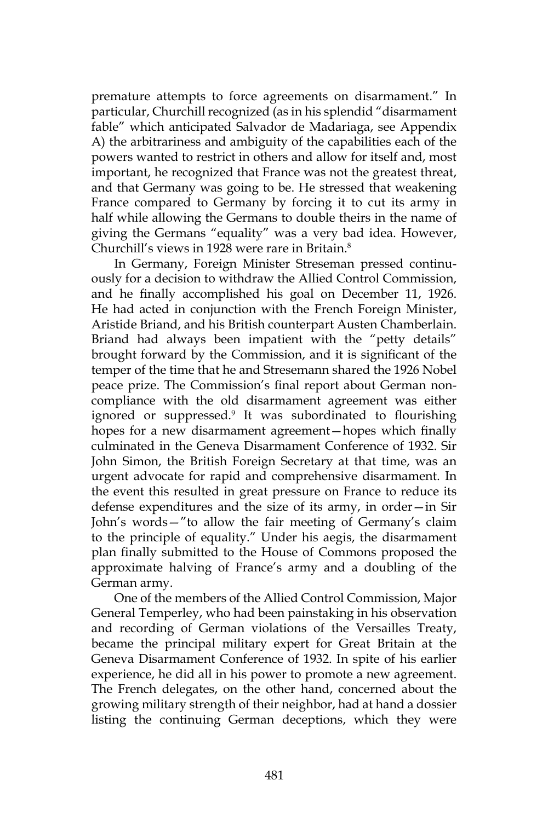premature attempts to force agreements on disarmament." In particular, Churchill recognized (as in his splendid "disarmament fable" which anticipated Salvador de Madariaga, see Appendix A) the arbitrariness and ambiguity of the capabilities each of the powers wanted to restrict in others and allow for itself and, most important, he recognized that France was not the greatest threat, and that Germany was going to be. He stressed that weakening France compared to Germany by forcing it to cut its army in half while allowing the Germans to double theirs in the name of giving the Germans "equality" was a very bad idea. However, Churchill's views in 1928 were rare in Britain.8

In Germany, Foreign Minister Streseman pressed continuously for a decision to withdraw the Allied Control Commission, and he finally accomplished his goal on December 11, 1926. He had acted in conjunction with the French Foreign Minister, Aristide Briand, and his British counterpart Austen Chamberlain. Briand had always been impatient with the "petty details" brought forward by the Commission, and it is significant of the temper of the time that he and Stresemann shared the 1926 Nobel peace prize. The Commission's final report about German noncompliance with the old disarmament agreement was either ignored or suppressed.9 It was subordinated to flourishing hopes for a new disarmament agreement—hopes which finally culminated in the Geneva Disarmament Conference of 1932. Sir John Simon, the British Foreign Secretary at that time, was an urgent advocate for rapid and comprehensive disarmament. In the event this resulted in great pressure on France to reduce its defense expenditures and the size of its army, in order—in Sir John's words—"to allow the fair meeting of Germany's claim to the principle of equality." Under his aegis, the disarmament plan finally submitted to the House of Commons proposed the approximate halving of France's army and a doubling of the German army.

One of the members of the Allied Control Commission, Major General Temperley, who had been painstaking in his observation and recording of German violations of the Versailles Treaty, became the principal military expert for Great Britain at the Geneva Disarmament Conference of 1932. In spite of his earlier experience, he did all in his power to promote a new agreement. The French delegates, on the other hand, concerned about the growing military strength of their neighbor, had at hand a dossier listing the continuing German deceptions, which they were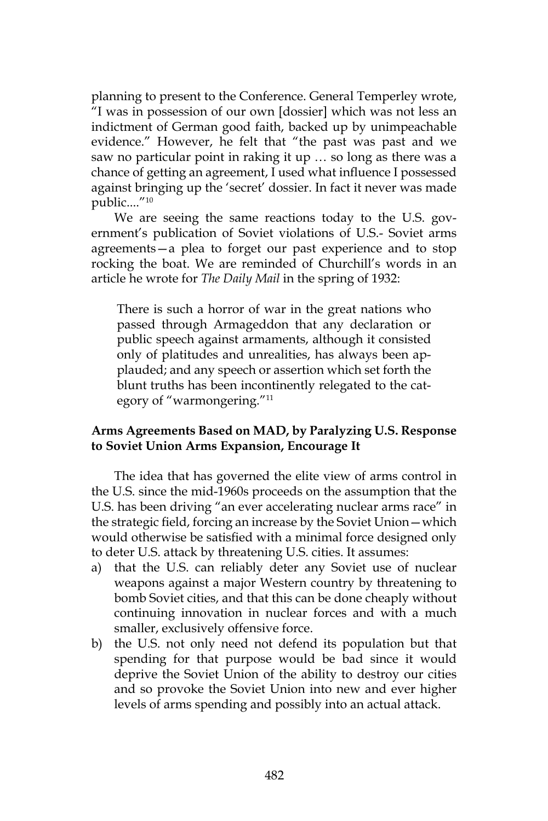planning to present to the Conference. General Temperley wrote, "I was in possession of our own [dossier] which was not less an indictment of German good faith, backed up by unimpeachable evidence." However, he felt that "the past was past and we saw no particular point in raking it up … so long as there was a chance of getting an agreement, I used what influence I possessed against bringing up the 'secret' dossier. In fact it never was made public...."10

We are seeing the same reactions today to the U.S. government's publication of Soviet violations of U.S.- Soviet arms agreements—a plea to forget our past experience and to stop rocking the boat. We are reminded of Churchill's words in an article he wrote for *The Daily Mail* in the spring of 1932:

There is such a horror of war in the great nations who passed through Armageddon that any declaration or public speech against armaments, although it consisted only of platitudes and unrealities, has always been applauded; and any speech or assertion which set forth the blunt truths has been incontinently relegated to the category of "warmongering."11

# **Arms Agreements Based on MAD, by Paralyzing U.S. Response to Soviet Union Arms Expansion, Encourage It**

The idea that has governed the elite view of arms control in the U.S. since the mid-1960s proceeds on the assumption that the U.S. has been driving "an ever accelerating nuclear arms race" in the strategic field, forcing an increase by the Soviet Union—which would otherwise be satisfied with a minimal force designed only to deter U.S. attack by threatening U.S. cities. It assumes:

- a) that the U.S. can reliably deter any Soviet use of nuclear weapons against a major Western country by threatening to bomb Soviet cities, and that this can be done cheaply without continuing innovation in nuclear forces and with a much smaller, exclusively offensive force.
- b) the U.S. not only need not defend its population but that spending for that purpose would be bad since it would deprive the Soviet Union of the ability to destroy our cities and so provoke the Soviet Union into new and ever higher levels of arms spending and possibly into an actual attack.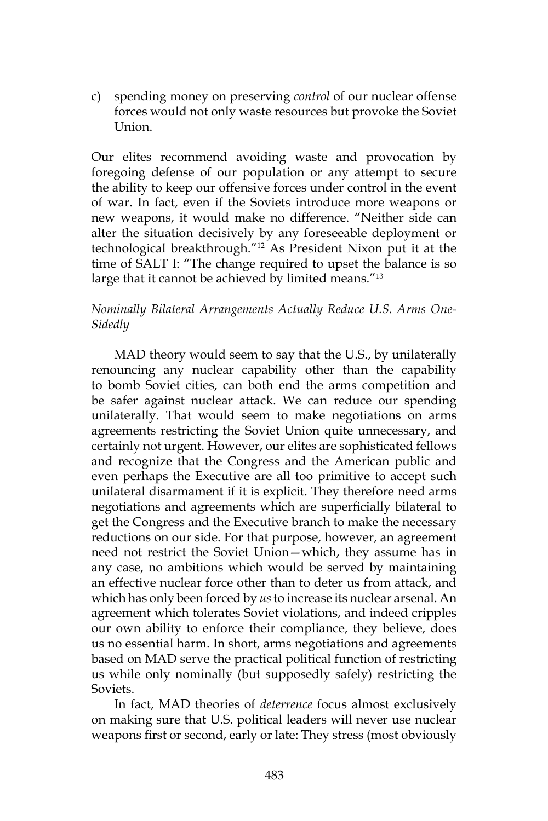c) spending money on preserving *control* of our nuclear offense forces would not only waste resources but provoke the Soviet Union.

Our elites recommend avoiding waste and provocation by foregoing defense of our population or any attempt to secure the ability to keep our offensive forces under control in the event of war. In fact, even if the Soviets introduce more weapons or new weapons, it would make no difference. "Neither side can alter the situation decisively by any foreseeable deployment or technological breakthrough."12 As President Nixon put it at the time of SALT I: "The change required to upset the balance is so large that it cannot be achieved by limited means."<sup>13</sup>

# *Nominally Bilateral Arrangements Actually Reduce U.S. Arms One-Sidedly*

MAD theory would seem to say that the U.S., by unilaterally renouncing any nuclear capability other than the capability to bomb Soviet cities, can both end the arms competition and be safer against nuclear attack. We can reduce our spending unilaterally. That would seem to make negotiations on arms agreements restricting the Soviet Union quite unnecessary, and certainly not urgent. However, our elites are sophisticated fellows and recognize that the Congress and the American public and even perhaps the Executive are all too primitive to accept such unilateral disarmament if it is explicit. They therefore need arms negotiations and agreements which are superficially bilateral to get the Congress and the Executive branch to make the necessary reductions on our side. For that purpose, however, an agreement need not restrict the Soviet Union—which, they assume has in any case, no ambitions which would be served by maintaining an effective nuclear force other than to deter us from attack, and which has only been forced by *us* to increase its nuclear arsenal. An agreement which tolerates Soviet violations, and indeed cripples our own ability to enforce their compliance, they believe, does us no essential harm. In short, arms negotiations and agreements based on MAD serve the practical political function of restricting us while only nominally (but supposedly safely) restricting the Soviets.

In fact, MAD theories of *deterrence* focus almost exclusively on making sure that U.S. political leaders will never use nuclear weapons first or second, early or late: They stress (most obviously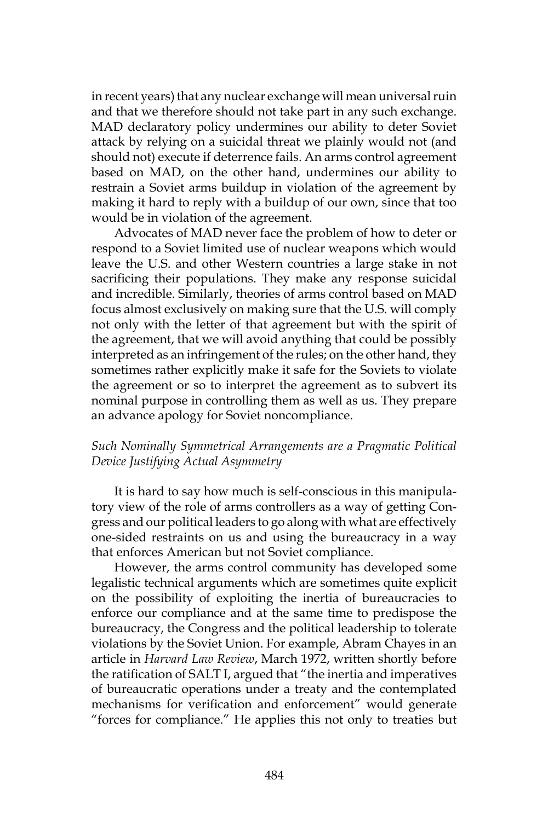in recent years) that any nuclear exchange will mean universal ruin and that we therefore should not take part in any such exchange. MAD declaratory policy undermines our ability to deter Soviet attack by relying on a suicidal threat we plainly would not (and should not) execute if deterrence fails. An arms control agreement based on MAD, on the other hand, undermines our ability to restrain a Soviet arms buildup in violation of the agreement by making it hard to reply with a buildup of our own, since that too would be in violation of the agreement.

Advocates of MAD never face the problem of how to deter or respond to a Soviet limited use of nuclear weapons which would leave the U.S. and other Western countries a large stake in not sacrificing their populations. They make any response suicidal and incredible. Similarly, theories of arms control based on MAD focus almost exclusively on making sure that the U.S. will comply not only with the letter of that agreement but with the spirit of the agreement, that we will avoid anything that could be possibly interpreted as an infringement of the rules; on the other hand, they sometimes rather explicitly make it safe for the Soviets to violate the agreement or so to interpret the agreement as to subvert its nominal purpose in controlling them as well as us. They prepare an advance apology for Soviet noncompliance.

## *Such Nominally Symmetrical Arrangements are a Pragmatic Political Device Justifying Actual Asymmetry*

It is hard to say how much is self-conscious in this manipulatory view of the role of arms controllers as a way of getting Congress and our political leaders to go along with what are effectively one-sided restraints on us and using the bureaucracy in a way that enforces American but not Soviet compliance.

However, the arms control community has developed some legalistic technical arguments which are sometimes quite explicit on the possibility of exploiting the inertia of bureaucracies to enforce our compliance and at the same time to predispose the bureaucracy, the Congress and the political leadership to tolerate violations by the Soviet Union. For example, Abram Chayes in an article in *Harvard Law Review*, March 1972, written shortly before the ratification of SALT I, argued that "the inertia and imperatives of bureaucratic operations under a treaty and the contemplated mechanisms for verification and enforcement" would generate "forces for compliance." He applies this not only to treaties but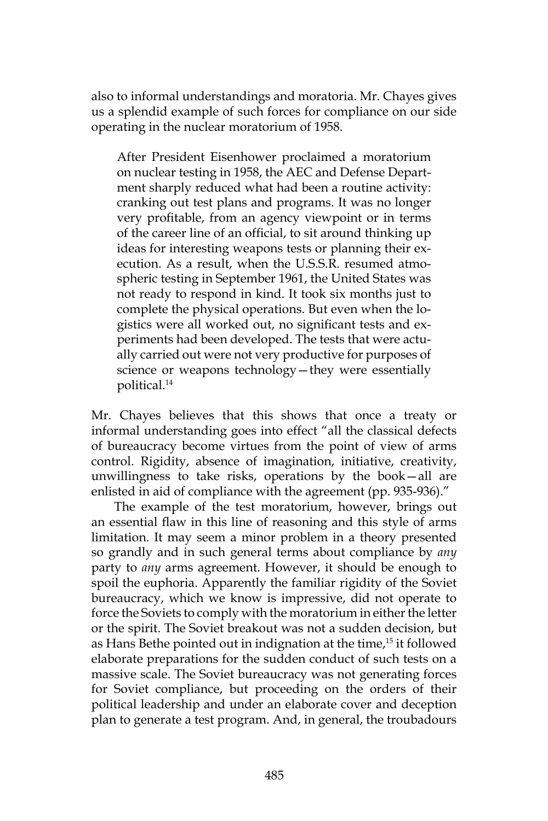also to informal understandings and moratoria. Mr. Chayes gives us a splendid example of such forces for compliance on our side operating in the nuclear moratorium of 1958.

After President Eisenhower proclaimed a moratorium on nuclear testing in 1958, the AEC and Defense Department sharply reduced what had been a routine activity: cranking out test plans and programs. It was no longer very profitable, from an agency viewpoint or in terms of the career line of an official, to sit around thinking up ideas for interesting weapons tests or planning their execution. As a result, when the U.S.S.R. resumed atmospheric testing in September 1961, the United States was not ready to respond in kind. It took six months just to complete the physical operations. But even when the logistics were all worked out, no significant tests and experiments had been developed. The tests that were actually carried out were not very productive for purposes of science or weapons technology—they were essentially political.14

Mr. Chayes believes that this shows that once a treaty or informal understanding goes into effect "all the classical defects of bureaucracy become virtues from the point of view of arms control. Rigidity, absence of imagination, initiative, creativity, unwillingness to take risks, operations by the book—all are enlisted in aid of compliance with the agreement (pp. 935-936)."

The example of the test moratorium, however, brings out an essential flaw in this line of reasoning and this style of arms limitation. It may seem a minor problem in a theory presented so grandly and in such general terms about compliance by *any* party to *any* arms agreement. However, it should be enough to spoil the euphoria. Apparently the familiar rigidity of the Soviet bureaucracy, which we know is impressive, did not operate to force the Soviets to comply with the moratorium in either the letter or the spirit. The Soviet breakout was not a sudden decision, but as Hans Bethe pointed out in indignation at the time,<sup>15</sup> it followed elaborate preparations for the sudden conduct of such tests on a massive scale. The Soviet bureaucracy was not generating forces for Soviet compliance, but proceeding on the orders of their political leadership and under an elaborate cover and deception plan to generate a test program. And, in general, the troubadours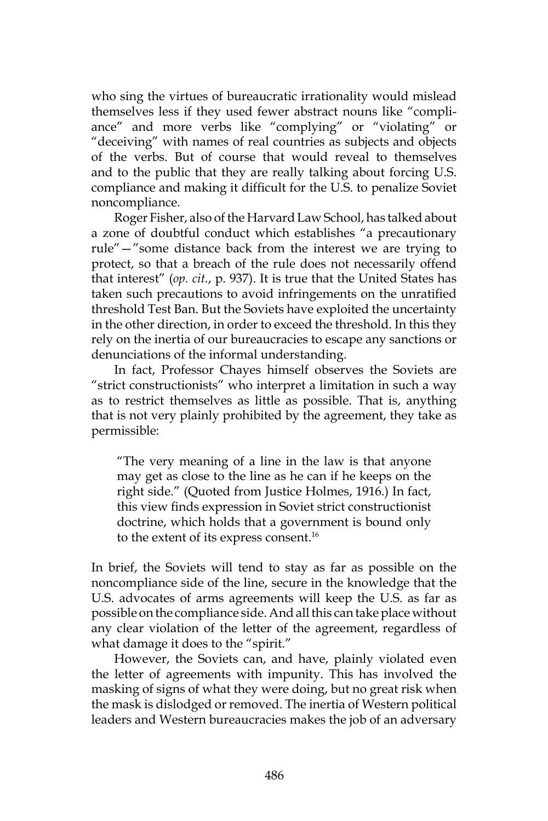who sing the virtues of bureaucratic irrationality would mislead themselves less if they used fewer abstract nouns like "compliance" and more verbs like "complying" or "violating" or "deceiving" with names of real countries as subjects and objects of the verbs. But of course that would reveal to themselves and to the public that they are really talking about forcing U.S. compliance and making it difficult for the U.S. to penalize Soviet noncompliance.

Roger Fisher, also of the Harvard Law School, has talked about a zone of doubtful conduct which establishes "a precautionary rule"—"some distance back from the interest we are trying to protect, so that a breach of the rule does not necessarily offend that interest" (*op. cit.*, p. 937). It is true that the United States has taken such precautions to avoid infringements on the unratified threshold Test Ban. But the Soviets have exploited the uncertainty in the other direction, in order to exceed the threshold. In this they rely on the inertia of our bureaucracies to escape any sanctions or denunciations of the informal understanding.

In fact, Professor Chayes himself observes the Soviets are "strict constructionists" who interpret a limitation in such a way as to restrict themselves as little as possible. That is, anything that is not very plainly prohibited by the agreement, they take as permissible:

"The very meaning of a line in the law is that anyone may get as close to the line as he can if he keeps on the right side." (Quoted from Justice Holmes, 1916.) In fact, this view finds expression in Soviet strict constructionist doctrine, which holds that a government is bound only to the extent of its express consent.16

In brief, the Soviets will tend to stay as far as possible on the noncompliance side of the line, secure in the knowledge that the U.S. advocates of arms agreements will keep the U.S. as far as possible on the compliance side. And all this can take place without any clear violation of the letter of the agreement, regardless of what damage it does to the "spirit."

However, the Soviets can, and have, plainly violated even the letter of agreements with impunity. This has involved the masking of signs of what they were doing, but no great risk when the mask is dislodged or removed. The inertia of Western political leaders and Western bureaucracies makes the job of an adversary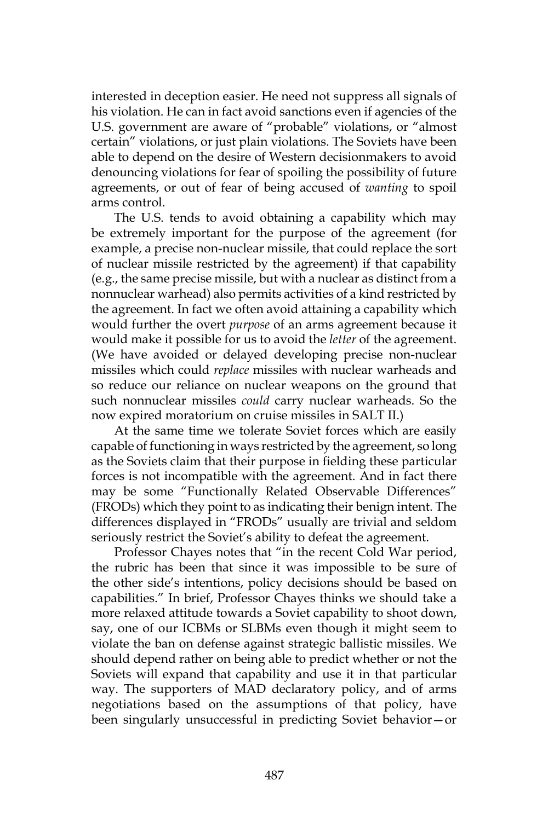interested in deception easier. He need not suppress all signals of his violation. He can in fact avoid sanctions even if agencies of the U.S. government are aware of "probable" violations, or "almost certain" violations, or just plain violations. The Soviets have been able to depend on the desire of Western decisionmakers to avoid denouncing violations for fear of spoiling the possibility of future agreements, or out of fear of being accused of *wanting* to spoil arms control.

The U.S. tends to avoid obtaining a capability which may be extremely important for the purpose of the agreement (for example, a precise non-nuclear missile, that could replace the sort of nuclear missile restricted by the agreement) if that capability (e.g., the same precise missile, but with a nuclear as distinct from a nonnuclear warhead) also permits activities of a kind restricted by the agreement. In fact we often avoid attaining a capability which would further the overt *purpose* of an arms agreement because it would make it possible for us to avoid the *letter* of the agreement. (We have avoided or delayed developing precise non-nuclear missiles which could *replace* missiles with nuclear warheads and so reduce our reliance on nuclear weapons on the ground that such nonnuclear missiles *could* carry nuclear warheads. So the now expired moratorium on cruise missiles in SALT II.)

At the same time we tolerate Soviet forces which are easily capable of functioning in ways restricted by the agreement, so long as the Soviets claim that their purpose in fielding these particular forces is not incompatible with the agreement. And in fact there may be some "Functionally Related Observable Differences" (FRODs) which they point to as indicating their benign intent. The differences displayed in "FRODs" usually are trivial and seldom seriously restrict the Soviet's ability to defeat the agreement.

Professor Chayes notes that "in the recent Cold War period, the rubric has been that since it was impossible to be sure of the other side's intentions, policy decisions should be based on capabilities." In brief, Professor Chayes thinks we should take a more relaxed attitude towards a Soviet capability to shoot down, say, one of our ICBMs or SLBMs even though it might seem to violate the ban on defense against strategic ballistic missiles. We should depend rather on being able to predict whether or not the Soviets will expand that capability and use it in that particular way. The supporters of MAD declaratory policy, and of arms negotiations based on the assumptions of that policy, have been singularly unsuccessful in predicting Soviet behavior—or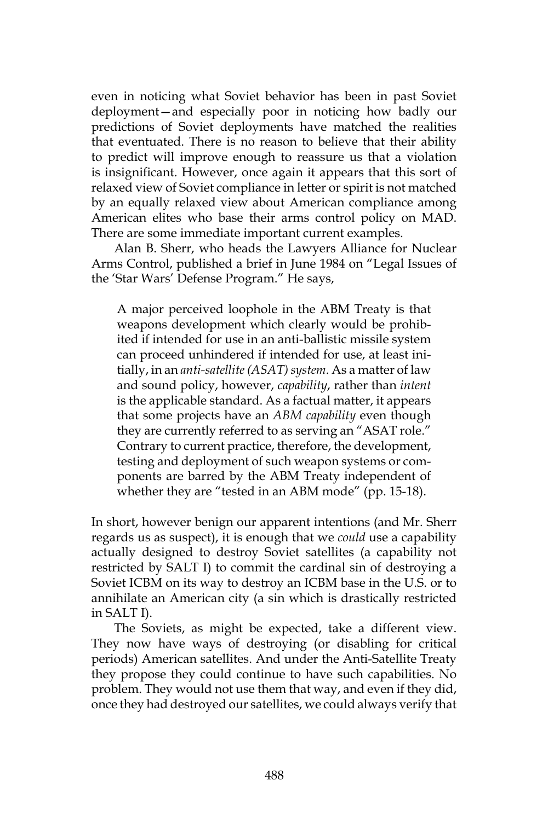even in noticing what Soviet behavior has been in past Soviet deployment—and especially poor in noticing how badly our predictions of Soviet deployments have matched the realities that eventuated. There is no reason to believe that their ability to predict will improve enough to reassure us that a violation is insignificant. However, once again it appears that this sort of relaxed view of Soviet compliance in letter or spirit is not matched by an equally relaxed view about American compliance among American elites who base their arms control policy on MAD. There are some immediate important current examples.

Alan B. Sherr, who heads the Lawyers Alliance for Nuclear Arms Control, published a brief in June 1984 on "Legal Issues of the 'Star Wars' Defense Program." He says,

A major perceived loophole in the ABM Treaty is that weapons development which clearly would be prohibited if intended for use in an anti-ballistic missile system can proceed unhindered if intended for use, at least initially, in an *anti-satellite (ASAT) system*. As a matter of law and sound policy, however, *capability*, rather than *intent* is the applicable standard. As a factual matter, it appears that some projects have an *ABM capability* even though they are currently referred to as serving an "ASAT role." Contrary to current practice, therefore, the development, testing and deployment of such weapon systems or components are barred by the ABM Treaty independent of whether they are "tested in an ABM mode" (pp. 15-18).

In short, however benign our apparent intentions (and Mr. Sherr regards us as suspect), it is enough that we *could* use a capability actually designed to destroy Soviet satellites (a capability not restricted by SALT I) to commit the cardinal sin of destroying a Soviet ICBM on its way to destroy an ICBM base in the U.S. or to annihilate an American city (a sin which is drastically restricted in SALT I).

The Soviets, as might be expected, take a different view. They now have ways of destroying (or disabling for critical periods) American satellites. And under the Anti-Satellite Treaty they propose they could continue to have such capabilities. No problem. They would not use them that way, and even if they did, once they had destroyed our satellites, we could always verify that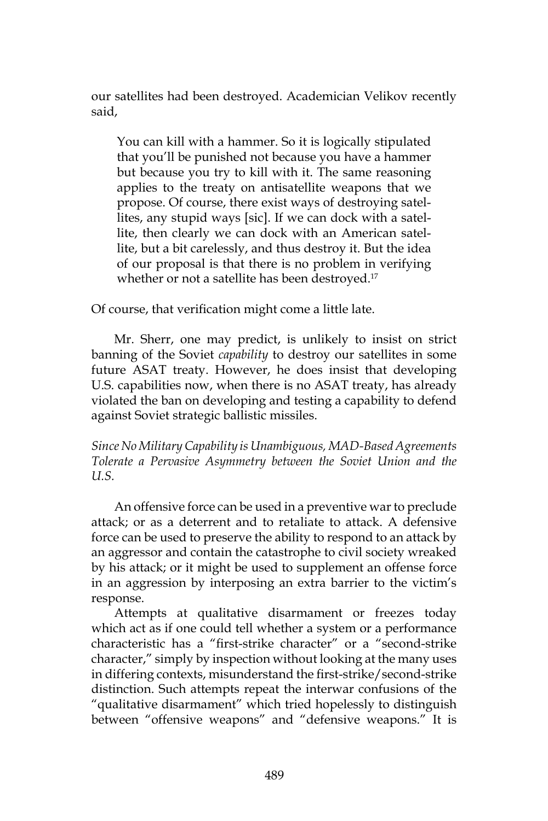our satellites had been destroyed. Academician Velikov recently said,

You can kill with a hammer. So it is logically stipulated that you'll be punished not because you have a hammer but because you try to kill with it. The same reasoning applies to the treaty on antisatellite weapons that we propose. Of course, there exist ways of destroying satellites, any stupid ways [sic]. If we can dock with a satellite, then clearly we can dock with an American satellite, but a bit carelessly, and thus destroy it. But the idea of our proposal is that there is no problem in verifying whether or not a satellite has been destroyed.<sup>17</sup>

Of course, that verification might come a little late.

Mr. Sherr, one may predict, is unlikely to insist on strict banning of the Soviet *capability* to destroy our satellites in some future ASAT treaty. However, he does insist that developing U.S. capabilities now, when there is no ASAT treaty, has already violated the ban on developing and testing a capability to defend against Soviet strategic ballistic missiles.

*Since No Military Capability is Unambiguous, MAD-Based Agreements Tolerate a Pervasive Asymmetry between the Soviet Union and the U.S.*

An offensive force can be used in a preventive war to preclude attack; or as a deterrent and to retaliate to attack. A defensive force can be used to preserve the ability to respond to an attack by an aggressor and contain the catastrophe to civil society wreaked by his attack; or it might be used to supplement an offense force in an aggression by interposing an extra barrier to the victim's response.

Attempts at qualitative disarmament or freezes today which act as if one could tell whether a system or a performance characteristic has a "first-strike character" or a "second-strike character," simply by inspection without looking at the many uses in differing contexts, misunderstand the first-strike/second-strike distinction. Such attempts repeat the interwar confusions of the "qualitative disarmament" which tried hopelessly to distinguish between "offensive weapons" and "defensive weapons." It is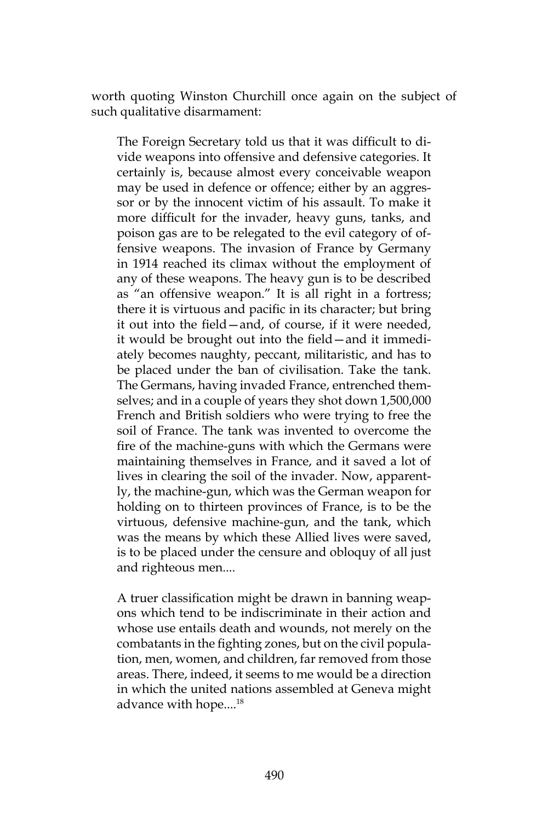worth quoting Winston Churchill once again on the subject of such qualitative disarmament:

The Foreign Secretary told us that it was difficult to divide weapons into offensive and defensive categories. It certainly is, because almost every conceivable weapon may be used in defence or offence; either by an aggressor or by the innocent victim of his assault. To make it more difficult for the invader, heavy guns, tanks, and poison gas are to be relegated to the evil category of offensive weapons. The invasion of France by Germany in 1914 reached its climax without the employment of any of these weapons. The heavy gun is to be described as "an offensive weapon." It is all right in a fortress; there it is virtuous and pacific in its character; but bring it out into the field—and, of course, if it were needed, it would be brought out into the field—and it immediately becomes naughty, peccant, militaristic, and has to be placed under the ban of civilisation. Take the tank. The Germans, having invaded France, entrenched themselves; and in a couple of years they shot down 1,500,000 French and British soldiers who were trying to free the soil of France. The tank was invented to overcome the fire of the machine-guns with which the Germans were maintaining themselves in France, and it saved a lot of lives in clearing the soil of the invader. Now, apparently, the machine-gun, which was the German weapon for holding on to thirteen provinces of France, is to be the virtuous, defensive machine-gun, and the tank, which was the means by which these Allied lives were saved, is to be placed under the censure and obloquy of all just and righteous men....

A truer classification might be drawn in banning weapons which tend to be indiscriminate in their action and whose use entails death and wounds, not merely on the combatants in the fighting zones, but on the civil population, men, women, and children, far removed from those areas. There, indeed, it seems to me would be a direction in which the united nations assembled at Geneva might advance with hope....<sup>18</sup>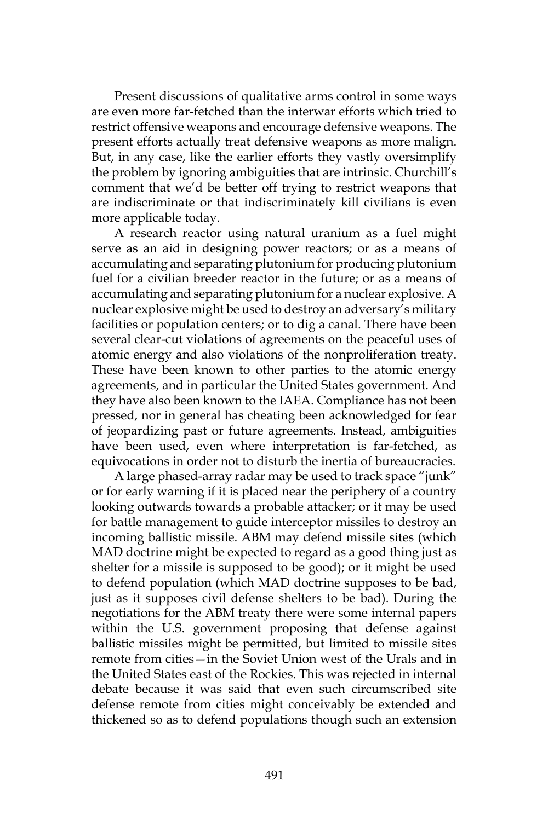Present discussions of qualitative arms control in some ways are even more far-fetched than the interwar efforts which tried to restrict offensive weapons and encourage defensive weapons. The present efforts actually treat defensive weapons as more malign. But, in any case, like the earlier efforts they vastly oversimplify the problem by ignoring ambiguities that are intrinsic. Churchill's comment that we'd be better off trying to restrict weapons that are indiscriminate or that indiscriminately kill civilians is even more applicable today.

A research reactor using natural uranium as a fuel might serve as an aid in designing power reactors; or as a means of accumulating and separating plutonium for producing plutonium fuel for a civilian breeder reactor in the future; or as a means of accumulating and separating plutonium for a nuclear explosive. A nuclear explosive might be used to destroy an adversary's military facilities or population centers; or to dig a canal. There have been several clear-cut violations of agreements on the peaceful uses of atomic energy and also violations of the nonproliferation treaty. These have been known to other parties to the atomic energy agreements, and in particular the United States government. And they have also been known to the IAEA. Compliance has not been pressed, nor in general has cheating been acknowledged for fear of jeopardizing past or future agreements. Instead, ambiguities have been used, even where interpretation is far-fetched, as equivocations in order not to disturb the inertia of bureaucracies.

A large phased-array radar may be used to track space "junk" or for early warning if it is placed near the periphery of a country looking outwards towards a probable attacker; or it may be used for battle management to guide interceptor missiles to destroy an incoming ballistic missile. ABM may defend missile sites (which MAD doctrine might be expected to regard as a good thing just as shelter for a missile is supposed to be good); or it might be used to defend population (which MAD doctrine supposes to be bad, just as it supposes civil defense shelters to be bad). During the negotiations for the ABM treaty there were some internal papers within the U.S. government proposing that defense against ballistic missiles might be permitted, but limited to missile sites remote from cities—in the Soviet Union west of the Urals and in the United States east of the Rockies. This was rejected in internal debate because it was said that even such circumscribed site defense remote from cities might conceivably be extended and thickened so as to defend populations though such an extension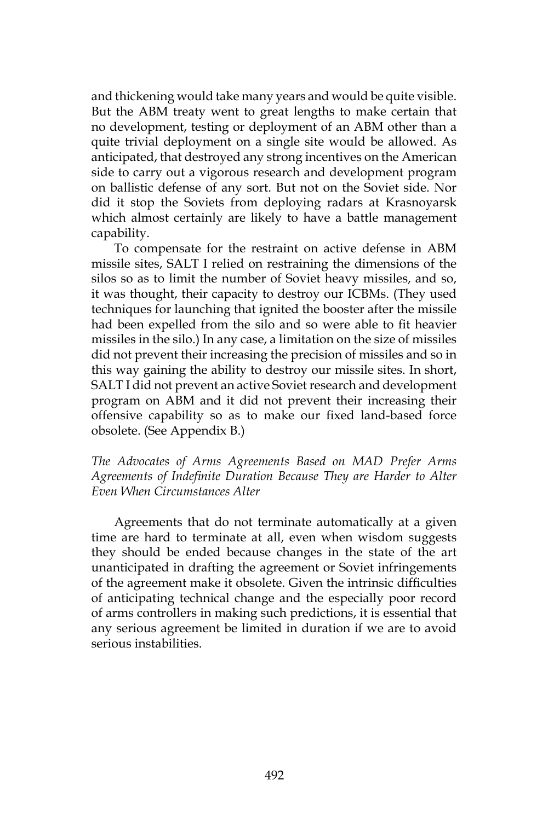and thickening would take many years and would be quite visible. But the ABM treaty went to great lengths to make certain that no development, testing or deployment of an ABM other than a quite trivial deployment on a single site would be allowed. As anticipated, that destroyed any strong incentives on the American side to carry out a vigorous research and development program on ballistic defense of any sort. But not on the Soviet side. Nor did it stop the Soviets from deploying radars at Krasnoyarsk which almost certainly are likely to have a battle management capability.

To compensate for the restraint on active defense in ABM missile sites, SALT I relied on restraining the dimensions of the silos so as to limit the number of Soviet heavy missiles, and so, it was thought, their capacity to destroy our ICBMs. (They used techniques for launching that ignited the booster after the missile had been expelled from the silo and so were able to fit heavier missiles in the silo.) In any case, a limitation on the size of missiles did not prevent their increasing the precision of missiles and so in this way gaining the ability to destroy our missile sites. In short, SALT I did not prevent an active Soviet research and development program on ABM and it did not prevent their increasing their offensive capability so as to make our fixed land-based force obsolete. (See Appendix B.)

# *The Advocates of Arms Agreements Based on MAD Prefer Arms Agreements of Indefinite Duration Because They are Harder to Alter Even When Circumstances Alter*

Agreements that do not terminate automatically at a given time are hard to terminate at all, even when wisdom suggests they should be ended because changes in the state of the art unanticipated in drafting the agreement or Soviet infringements of the agreement make it obsolete. Given the intrinsic difficulties of anticipating technical change and the especially poor record of arms controllers in making such predictions, it is essential that any serious agreement be limited in duration if we are to avoid serious instabilities.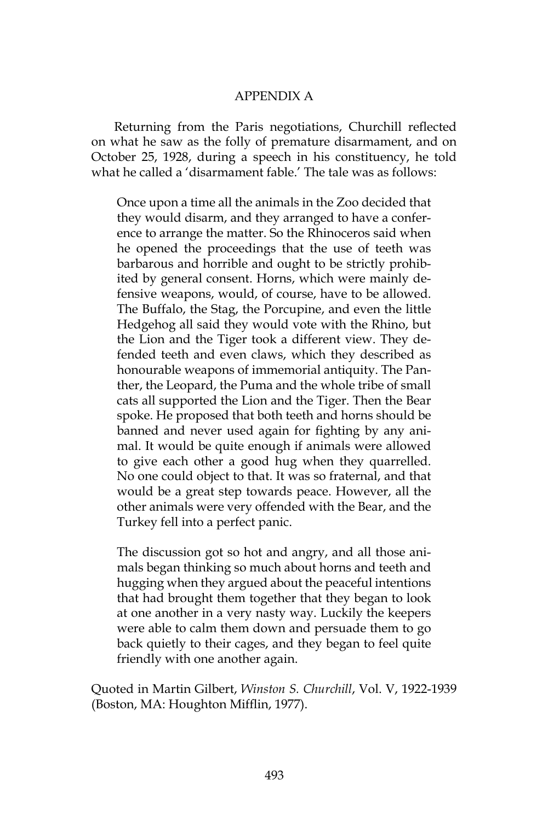### APPENDIX A

Returning from the Paris negotiations, Churchill reflected on what he saw as the folly of premature disarmament, and on October 25, 1928, during a speech in his constituency, he told what he called a 'disarmament fable.' The tale was as follows:

Once upon a time all the animals in the Zoo decided that they would disarm, and they arranged to have a conference to arrange the matter. So the Rhinoceros said when he opened the proceedings that the use of teeth was barbarous and horrible and ought to be strictly prohibited by general consent. Horns, which were mainly defensive weapons, would, of course, have to be allowed. The Buffalo, the Stag, the Porcupine, and even the little Hedgehog all said they would vote with the Rhino, but the Lion and the Tiger took a different view. They defended teeth and even claws, which they described as honourable weapons of immemorial antiquity. The Panther, the Leopard, the Puma and the whole tribe of small cats all supported the Lion and the Tiger. Then the Bear spoke. He proposed that both teeth and horns should be banned and never used again for fighting by any animal. It would be quite enough if animals were allowed to give each other a good hug when they quarrelled. No one could object to that. It was so fraternal, and that would be a great step towards peace. However, all the other animals were very offended with the Bear, and the Turkey fell into a perfect panic.

The discussion got so hot and angry, and all those animals began thinking so much about horns and teeth and hugging when they argued about the peaceful intentions that had brought them together that they began to look at one another in a very nasty way. Luckily the keepers were able to calm them down and persuade them to go back quietly to their cages, and they began to feel quite friendly with one another again.

Quoted in Martin Gilbert, *Winston S. Churchill*, Vol. V, 1922-1939 (Boston, MA: Houghton Mifflin, 1977).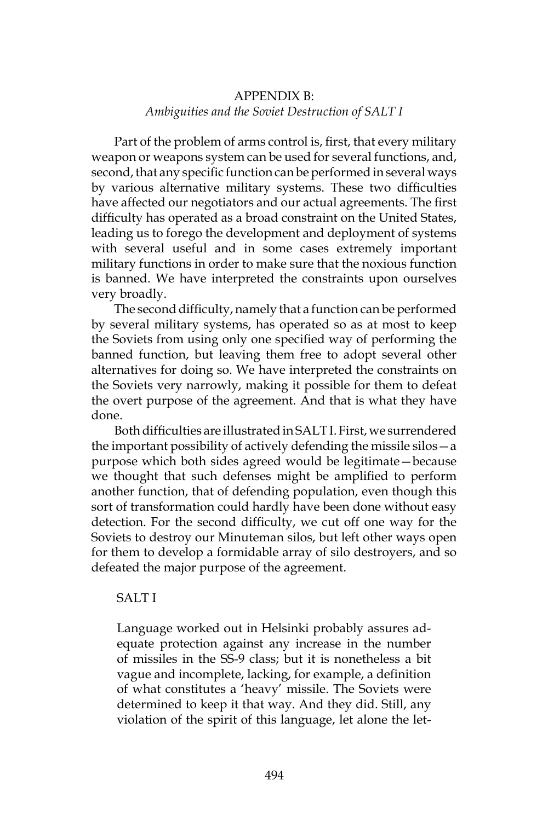# APPENDIX B: *Ambiguities and the Soviet Destruction of SALT I*

Part of the problem of arms control is, first, that every military weapon or weapons system can be used for several functions, and, second, that any specific function can be performed in several ways by various alternative military systems. These two difficulties have affected our negotiators and our actual agreements. The first difficulty has operated as a broad constraint on the United States, leading us to forego the development and deployment of systems with several useful and in some cases extremely important military functions in order to make sure that the noxious function is banned. We have interpreted the constraints upon ourselves very broadly.

The second difficulty, namely that a function can be performed by several military systems, has operated so as at most to keep the Soviets from using only one specified way of performing the banned function, but leaving them free to adopt several other alternatives for doing so. We have interpreted the constraints on the Soviets very narrowly, making it possible for them to defeat the overt purpose of the agreement. And that is what they have done.

Both difficulties are illustrated in SALT I. First, we surrendered the important possibility of actively defending the missile silos—a purpose which both sides agreed would be legitimate—because we thought that such defenses might be amplified to perform another function, that of defending population, even though this sort of transformation could hardly have been done without easy detection. For the second difficulty, we cut off one way for the Soviets to destroy our Minuteman silos, but left other ways open for them to develop a formidable array of silo destroyers, and so defeated the major purpose of the agreement.

### SALT I

Language worked out in Helsinki probably assures adequate protection against any increase in the number of missiles in the SS-9 class; but it is nonetheless a bit vague and incomplete, lacking, for example, a definition of what constitutes a 'heavy' missile. The Soviets were determined to keep it that way. And they did. Still, any violation of the spirit of this language, let alone the let-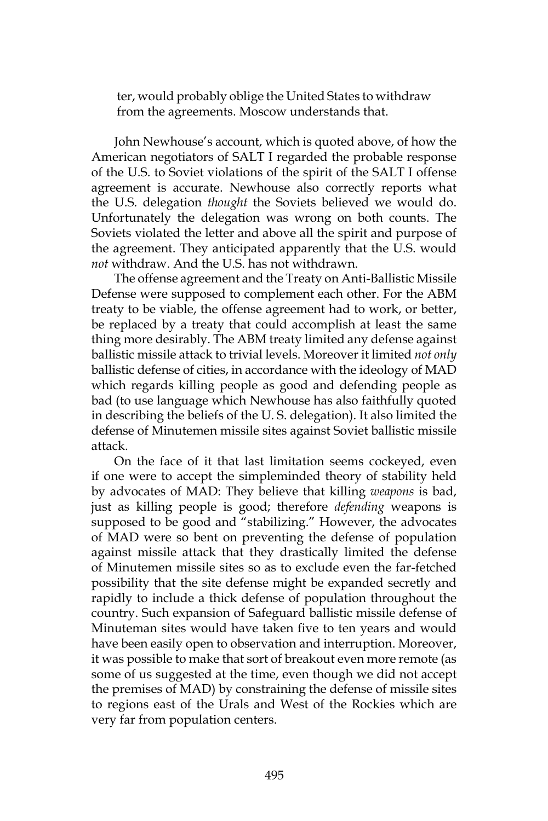ter, would probably oblige the United States to withdraw from the agreements. Moscow understands that.

John Newhouse's account, which is quoted above, of how the American negotiators of SALT I regarded the probable response of the U.S. to Soviet violations of the spirit of the SALT I offense agreement is accurate. Newhouse also correctly reports what the U.S. delegation *thought* the Soviets believed we would do. Unfortunately the delegation was wrong on both counts. The Soviets violated the letter and above all the spirit and purpose of the agreement. They anticipated apparently that the U.S. would *not* withdraw. And the U.S. has not withdrawn.

The offense agreement and the Treaty on Anti-Ballistic Missile Defense were supposed to complement each other. For the ABM treaty to be viable, the offense agreement had to work, or better, be replaced by a treaty that could accomplish at least the same thing more desirably. The ABM treaty limited any defense against ballistic missile attack to trivial levels. Moreover it limited *not only* ballistic defense of cities, in accordance with the ideology of MAD which regards killing people as good and defending people as bad (to use language which Newhouse has also faithfully quoted in describing the beliefs of the U. S. delegation). It also limited the defense of Minutemen missile sites against Soviet ballistic missile attack.

On the face of it that last limitation seems cockeyed, even if one were to accept the simpleminded theory of stability held by advocates of MAD: They believe that killing *weapons* is bad, just as killing people is good; therefore *defending* weapons is supposed to be good and "stabilizing." However, the advocates of MAD were so bent on preventing the defense of population against missile attack that they drastically limited the defense of Minutemen missile sites so as to exclude even the far-fetched possibility that the site defense might be expanded secretly and rapidly to include a thick defense of population throughout the country. Such expansion of Safeguard ballistic missile defense of Minuteman sites would have taken five to ten years and would have been easily open to observation and interruption. Moreover, it was possible to make that sort of breakout even more remote (as some of us suggested at the time, even though we did not accept the premises of MAD) by constraining the defense of missile sites to regions east of the Urals and West of the Rockies which are very far from population centers.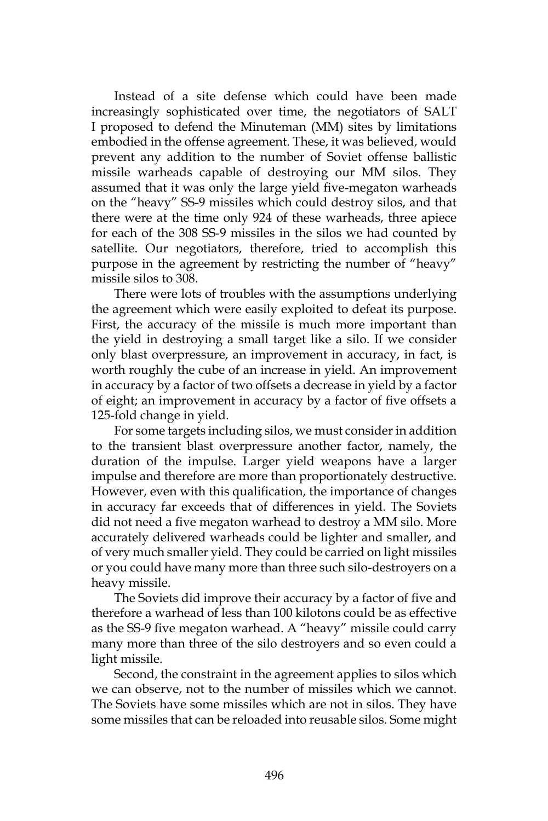Instead of a site defense which could have been made increasingly sophisticated over time, the negotiators of SALT I proposed to defend the Minuteman (MM) sites by limitations embodied in the offense agreement. These, it was believed, would prevent any addition to the number of Soviet offense ballistic missile warheads capable of destroying our MM silos. They assumed that it was only the large yield five-megaton warheads on the "heavy" SS-9 missiles which could destroy silos, and that there were at the time only 924 of these warheads, three apiece for each of the 308 SS-9 missiles in the silos we had counted by satellite. Our negotiators, therefore, tried to accomplish this purpose in the agreement by restricting the number of "heavy" missile silos to 308.

There were lots of troubles with the assumptions underlying the agreement which were easily exploited to defeat its purpose. First, the accuracy of the missile is much more important than the yield in destroying a small target like a silo. If we consider only blast overpressure, an improvement in accuracy, in fact, is worth roughly the cube of an increase in yield. An improvement in accuracy by a factor of two offsets a decrease in yield by a factor of eight; an improvement in accuracy by a factor of five offsets a 125-fold change in yield.

For some targets including silos, we must consider in addition to the transient blast overpressure another factor, namely, the duration of the impulse. Larger yield weapons have a larger impulse and therefore are more than proportionately destructive. However, even with this qualification, the importance of changes in accuracy far exceeds that of differences in yield. The Soviets did not need a five megaton warhead to destroy a MM silo. More accurately delivered warheads could be lighter and smaller, and of very much smaller yield. They could be carried on light missiles or you could have many more than three such silo-destroyers on a heavy missile.

The Soviets did improve their accuracy by a factor of five and therefore a warhead of less than 100 kilotons could be as effective as the SS-9 five megaton warhead. A "heavy" missile could carry many more than three of the silo destroyers and so even could a light missile.

Second, the constraint in the agreement applies to silos which we can observe, not to the number of missiles which we cannot. The Soviets have some missiles which are not in silos. They have some missiles that can be reloaded into reusable silos. Some might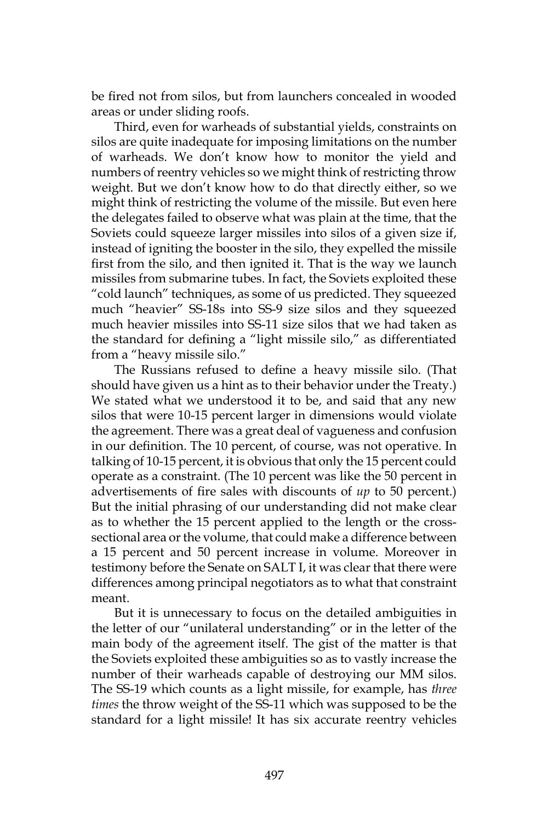be fired not from silos, but from launchers concealed in wooded areas or under sliding roofs.

Third, even for warheads of substantial yields, constraints on silos are quite inadequate for imposing limitations on the number of warheads. We don't know how to monitor the yield and numbers of reentry vehicles so we might think of restricting throw weight. But we don't know how to do that directly either, so we might think of restricting the volume of the missile. But even here the delegates failed to observe what was plain at the time, that the Soviets could squeeze larger missiles into silos of a given size if, instead of igniting the booster in the silo, they expelled the missile first from the silo, and then ignited it. That is the way we launch missiles from submarine tubes. In fact, the Soviets exploited these "cold launch" techniques, as some of us predicted. They squeezed much "heavier" SS-18s into SS-9 size silos and they squeezed much heavier missiles into SS-11 size silos that we had taken as the standard for defining a "light missile silo," as differentiated from a "heavy missile silo."

The Russians refused to define a heavy missile silo. (That should have given us a hint as to their behavior under the Treaty.) We stated what we understood it to be, and said that any new silos that were 10-15 percent larger in dimensions would violate the agreement. There was a great deal of vagueness and confusion in our definition. The 10 percent, of course, was not operative. In talking of 10-15 percent, it is obvious that only the 15 percent could operate as a constraint. (The 10 percent was like the 50 percent in advertisements of fire sales with discounts of *up* to 50 percent.) But the initial phrasing of our understanding did not make clear as to whether the 15 percent applied to the length or the crosssectional area or the volume, that could make a difference between a 15 percent and 50 percent increase in volume. Moreover in testimony before the Senate on SALT I, it was clear that there were differences among principal negotiators as to what that constraint meant.

But it is unnecessary to focus on the detailed ambiguities in the letter of our "unilateral understanding" or in the letter of the main body of the agreement itself. The gist of the matter is that the Soviets exploited these ambiguities so as to vastly increase the number of their warheads capable of destroying our MM silos. The SS-19 which counts as a light missile, for example, has *three times* the throw weight of the SS-11 which was supposed to be the standard for a light missile! It has six accurate reentry vehicles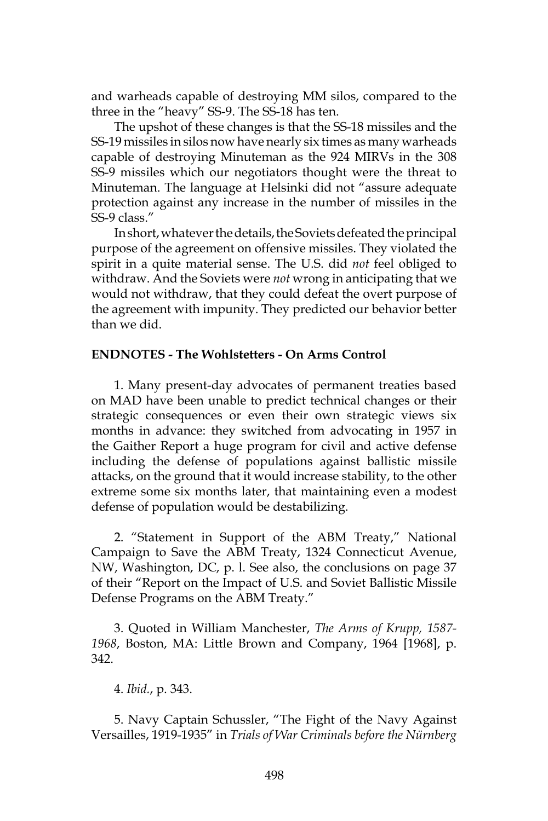and warheads capable of destroying MM silos, compared to the three in the "heavy" SS-9. The SS-18 has ten.

The upshot of these changes is that the SS-18 missiles and the SS-19 missiles in silos now have nearly six times as many warheads capable of destroying Minuteman as the 924 MIRVs in the 308 SS-9 missiles which our negotiators thought were the threat to Minuteman. The language at Helsinki did not "assure adequate protection against any increase in the number of missiles in the SS-9 class."

In short, whatever the details, the Soviets defeated the principal purpose of the agreement on offensive missiles. They violated the spirit in a quite material sense. The U.S. did *not* feel obliged to withdraw. And the Soviets were *not* wrong in anticipating that we would not withdraw, that they could defeat the overt purpose of the agreement with impunity. They predicted our behavior better than we did.

### **ENDNOTES - The Wohlstetters - On Arms Control**

1. Many present-day advocates of permanent treaties based on MAD have been unable to predict technical changes or their strategic consequences or even their own strategic views six months in advance: they switched from advocating in 1957 in the Gaither Report a huge program for civil and active defense including the defense of populations against ballistic missile attacks, on the ground that it would increase stability, to the other extreme some six months later, that maintaining even a modest defense of population would be destabilizing.

2. "Statement in Support of the ABM Treaty," National Campaign to Save the ABM Treaty, 1324 Connecticut Avenue, NW, Washington, DC, p. l. See also, the conclusions on page 37 of their "Report on the Impact of U.S. and Soviet Ballistic Missile Defense Programs on the ABM Treaty."

3. Quoted in William Manchester, *The Arms of Krupp, 1587- 1968*, Boston, MA: Little Brown and Company, 1964 [1968], p. 342.

4. *Ibid.*, p. 343.

5. Navy Captain Schussler, "The Fight of the Navy Against Versailles, 1919-1935" in *Trials of War Criminals before the Nürnberg*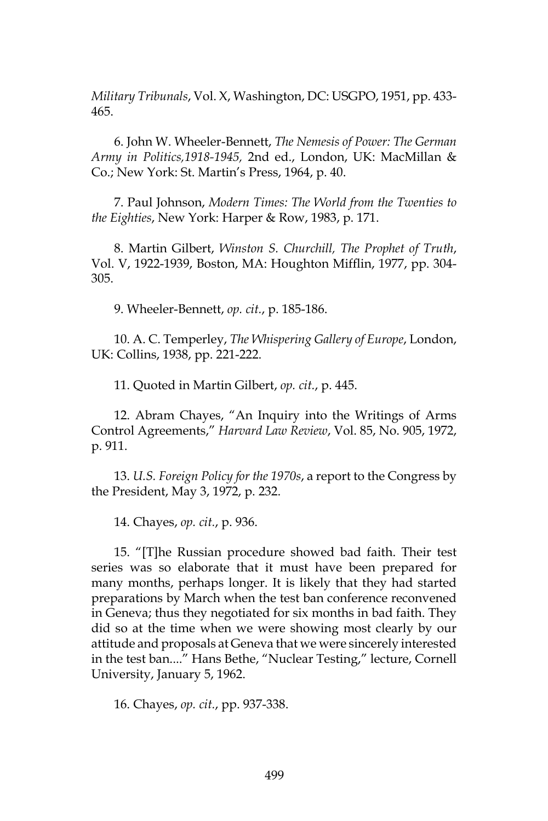*Military Tribunals*, Vol. X, Washington, DC: USGPO, 1951, pp. 433- 465.

6. John W. Wheeler-Bennett, *The Nemesis of Power: The German Army in Politics,1918-1945,* 2nd ed., London, UK: MacMillan & Co.; New York: St. Martin's Press, 1964, p. 40.

7. Paul Johnson, *Modern Times: The World from the Twenties to the Eighties*, New York: Harper & Row, 1983, p. 171.

8. Martin Gilbert, *Winston S. Churchill, The Prophet of Truth*, Vol. V, 1922-1939, Boston, MA: Houghton Mifflin, 1977, pp. 304- 305.

9. Wheeler-Bennett, *op. cit.*, p. 185-186.

10. A. C. Temperley, *The Whispering Gallery of Europe*, London, UK: Collins, 1938, pp. 221-222.

11. Quoted in Martin Gilbert, *op. cit.*, p. 445.

12. Abram Chayes, "An Inquiry into the Writings of Arms Control Agreements," *Harvard Law Review*, Vol. 85, No. 905, 1972, p. 911.

13. *U.S. Foreign Policy for the 1970s*, a report to the Congress by the President, May 3, 1972, p. 232.

14. Chayes, *op. cit.*, p. 936.

15. "[T]he Russian procedure showed bad faith. Their test series was so elaborate that it must have been prepared for many months, perhaps longer. It is likely that they had started preparations by March when the test ban conference reconvened in Geneva; thus they negotiated for six months in bad faith. They did so at the time when we were showing most clearly by our attitude and proposals at Geneva that we were sincerely interested in the test ban...." Hans Bethe, "Nuclear Testing," lecture, Cornell University, January 5, 1962.

16. Chayes, *op. cit.*, pp. 937-338.